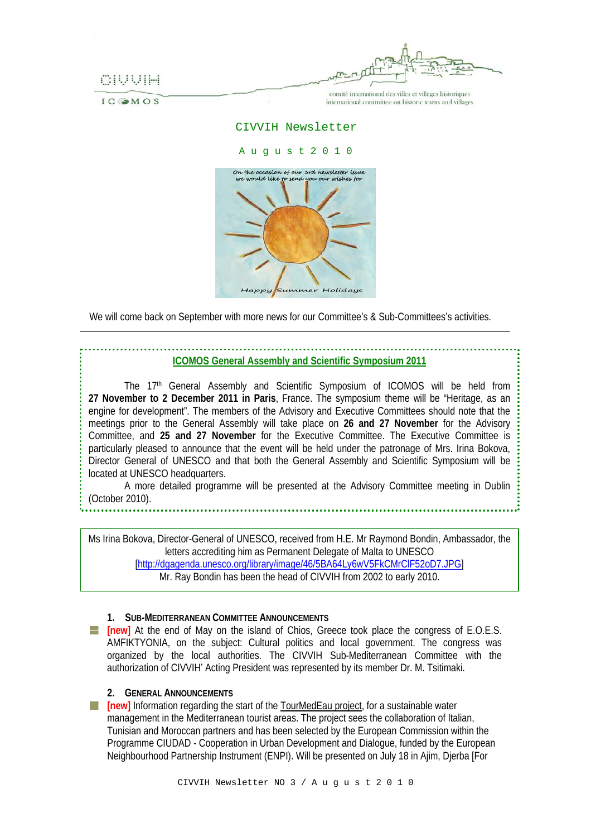

**IC OMOS** 

comité international des villes et villages historiques international committee on historic towns and villages

### CIVVIH Newsletter

#### A u g u s t 2 0 1 0



We will come back on September with more news for our Committee's & Sub-Committees's activities.

# **ICOMOS General Assembly and Scientific Symposium 2011**

The 17<sup>th</sup> General Assembly and Scientific Symposium of ICOMOS will be held from **27 November to 2 December 2011 in Paris**, France. The symposium theme will be "Heritage, as an engine for development". The members of the Advisory and Executive Committees should note that the meetings prior to the General Assembly will take place on **26 and 27 November** for the Advisory Committee, and **25 and 27 November** for the Executive Committee. The Executive Committee is particularly pleased to announce that the event will be held under the patronage of Mrs. Irina Bokova, Director General of UNESCO and that both the General Assembly and Scientific Symposium will be located at UNESCO headquarters.

A more detailed programme will be presented at the Advisory Committee meeting in Dublin (October 2010).

Ms Irina Bokova, Director-General of UNESCO, received from H.E. Mr Raymond Bondin, Ambassador, the letters accrediting him as Permanent Delegate of Malta to UNESCO [<http://dgagenda.unesco.org/library/image/46/5BA64Ly6wV5FkCMrClF52oD7.JPG>] Mr. Ray Bondin has been the head of CIVVIH from 2002 to early 2010.

## **1. SUB-MEDITERRANEAN COMMITTEE ANNOUNCEMENTS**

**[inew]** At the end of May on the island of Chios, Greece took place the congress of E.O.E.S. AMFIKTYONIA, on the subject: Cultural politics and local government. The congress was organized by the local authorities. The CIVVIH Sub-Mediterranean Committee with the authorization of CIVVIH' Acting President was represented by its member Dr. M. Tsitimaki.

## **2. GENERAL ANNOUNCEMENTS**

**[new]** Information regarding the start of the TourMedEau project, for a sustainable water a pr management in the Mediterranean tourist areas. The project sees the collaboration of Italian, Tunisian and Moroccan partners and has been selected by the European Commission within the Programme CIUDAD - Cooperation in Urban Development and Dialogue, funded by the European Neighbourhood Partnership Instrument (ENPI). Will be presented on July 18 in Ajim, Djerba [For